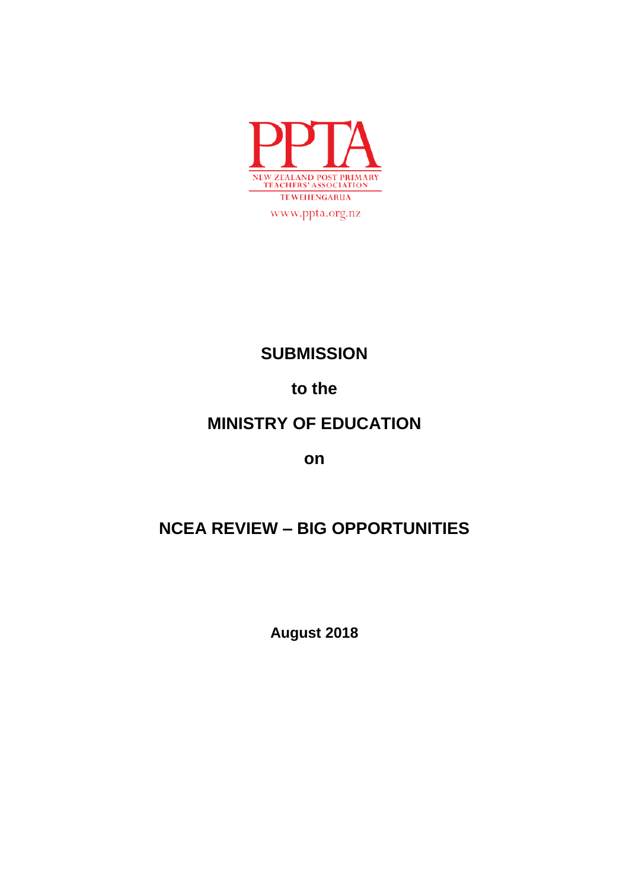

# **SUBMISSION**

# **to the**

# **MINISTRY OF EDUCATION**

**on**

# **NCEA REVIEW – BIG OPPORTUNITIES**

**August 2018**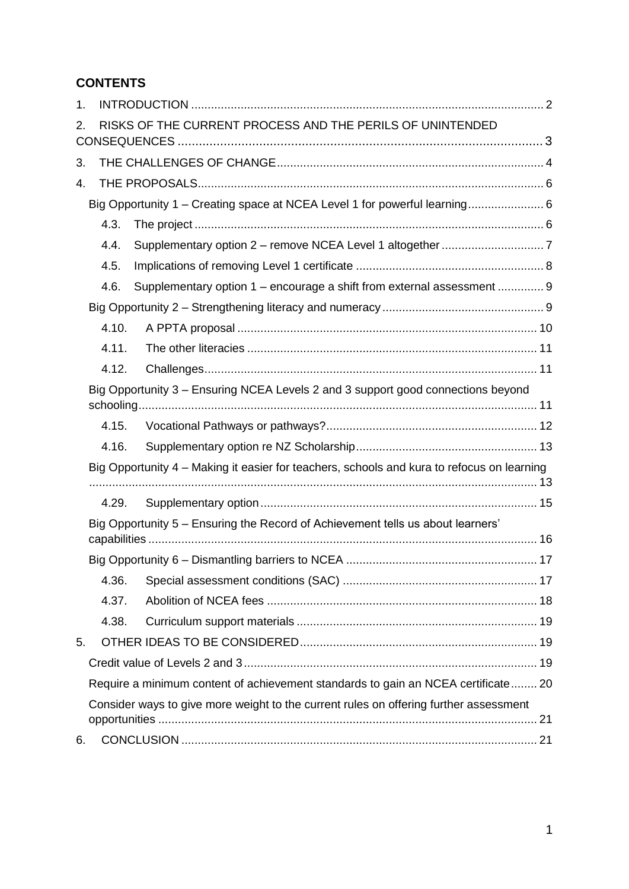# **CONTENTS**

| 1. |                                                                                            |                                                                        |  |
|----|--------------------------------------------------------------------------------------------|------------------------------------------------------------------------|--|
| 2. |                                                                                            | RISKS OF THE CURRENT PROCESS AND THE PERILS OF UNINTENDED              |  |
| 3. |                                                                                            |                                                                        |  |
| 4. |                                                                                            |                                                                        |  |
|    | Big Opportunity 1 – Creating space at NCEA Level 1 for powerful learning 6                 |                                                                        |  |
|    | 4.3.                                                                                       |                                                                        |  |
|    | 4.4.                                                                                       |                                                                        |  |
|    | 4.5.                                                                                       |                                                                        |  |
|    | 4.6.                                                                                       | Supplementary option 1 - encourage a shift from external assessment  9 |  |
|    |                                                                                            |                                                                        |  |
|    | 4.10.                                                                                      |                                                                        |  |
|    | 4.11.                                                                                      |                                                                        |  |
|    | 4.12.                                                                                      |                                                                        |  |
|    | Big Opportunity 3 - Ensuring NCEA Levels 2 and 3 support good connections beyond           |                                                                        |  |
|    | 4.15.                                                                                      |                                                                        |  |
|    | 4.16.                                                                                      |                                                                        |  |
|    | Big Opportunity 4 – Making it easier for teachers, schools and kura to refocus on learning |                                                                        |  |
|    | 4.29.                                                                                      |                                                                        |  |
|    | Big Opportunity 5 - Ensuring the Record of Achievement tells us about learners'            |                                                                        |  |
|    |                                                                                            |                                                                        |  |
|    | 4.36.                                                                                      |                                                                        |  |
|    | 4.37.                                                                                      |                                                                        |  |
|    | 4.38.                                                                                      |                                                                        |  |
| 5. |                                                                                            |                                                                        |  |
|    |                                                                                            |                                                                        |  |
|    | Require a minimum content of achievement standards to gain an NCEA certificate 20          |                                                                        |  |
|    | Consider ways to give more weight to the current rules on offering further assessment      |                                                                        |  |
| 6. |                                                                                            |                                                                        |  |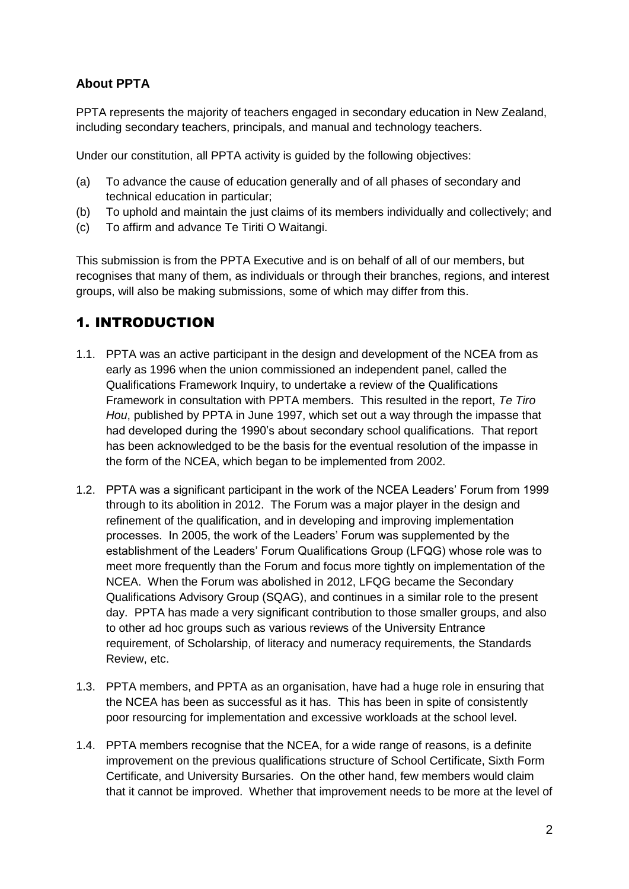## **About PPTA**

PPTA represents the majority of teachers engaged in secondary education in New Zealand, including secondary teachers, principals, and manual and technology teachers.

Under our constitution, all PPTA activity is guided by the following objectives:

- (a) To advance the cause of education generally and of all phases of secondary and technical education in particular;
- (b) To uphold and maintain the just claims of its members individually and collectively; and
- (c) To affirm and advance Te Tiriti O Waitangi.

This submission is from the PPTA Executive and is on behalf of all of our members, but recognises that many of them, as individuals or through their branches, regions, and interest groups, will also be making submissions, some of which may differ from this.

## <span id="page-2-0"></span>1. INTRODUCTION

- 1.1. PPTA was an active participant in the design and development of the NCEA from as early as 1996 when the union commissioned an independent panel, called the Qualifications Framework Inquiry, to undertake a review of the Qualifications Framework in consultation with PPTA members. This resulted in the report, *Te Tiro Hou*, published by PPTA in June 1997, which set out a way through the impasse that had developed during the 1990's about secondary school qualifications. That report has been acknowledged to be the basis for the eventual resolution of the impasse in the form of the NCEA, which began to be implemented from 2002.
- 1.2. PPTA was a significant participant in the work of the NCEA Leaders' Forum from 1999 through to its abolition in 2012. The Forum was a major player in the design and refinement of the qualification, and in developing and improving implementation processes. In 2005, the work of the Leaders' Forum was supplemented by the establishment of the Leaders' Forum Qualifications Group (LFQG) whose role was to meet more frequently than the Forum and focus more tightly on implementation of the NCEA. When the Forum was abolished in 2012, LFQG became the Secondary Qualifications Advisory Group (SQAG), and continues in a similar role to the present day. PPTA has made a very significant contribution to those smaller groups, and also to other ad hoc groups such as various reviews of the University Entrance requirement, of Scholarship, of literacy and numeracy requirements, the Standards Review, etc.
- 1.3. PPTA members, and PPTA as an organisation, have had a huge role in ensuring that the NCEA has been as successful as it has. This has been in spite of consistently poor resourcing for implementation and excessive workloads at the school level.
- 1.4. PPTA members recognise that the NCEA, for a wide range of reasons, is a definite improvement on the previous qualifications structure of School Certificate, Sixth Form Certificate, and University Bursaries. On the other hand, few members would claim that it cannot be improved. Whether that improvement needs to be more at the level of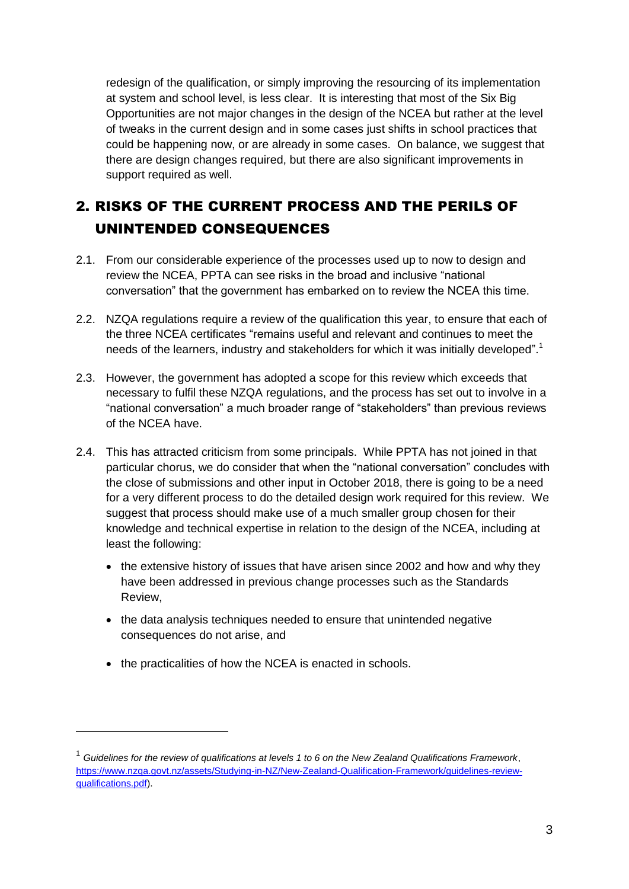redesign of the qualification, or simply improving the resourcing of its implementation at system and school level, is less clear. It is interesting that most of the Six Big Opportunities are not major changes in the design of the NCEA but rather at the level of tweaks in the current design and in some cases just shifts in school practices that could be happening now, or are already in some cases. On balance, we suggest that there are design changes required, but there are also significant improvements in support required as well.

# <span id="page-3-0"></span>2. RISKS OF THE CURRENT PROCESS AND THE PERILS OF UNINTENDED CONSEQUENCES

- 2.1. From our considerable experience of the processes used up to now to design and review the NCEA, PPTA can see risks in the broad and inclusive "national conversation" that the government has embarked on to review the NCEA this time.
- 2.2. NZQA regulations require a review of the qualification this year, to ensure that each of the three NCEA certificates "remains useful and relevant and continues to meet the needs of the learners, industry and stakeholders for which it was initially developed".<sup>1</sup>
- 2.3. However, the government has adopted a scope for this review which exceeds that necessary to fulfil these NZQA regulations, and the process has set out to involve in a "national conversation" a much broader range of "stakeholders" than previous reviews of the NCEA have.
- 2.4. This has attracted criticism from some principals. While PPTA has not joined in that particular chorus, we do consider that when the "national conversation" concludes with the close of submissions and other input in October 2018, there is going to be a need for a very different process to do the detailed design work required for this review. We suggest that process should make use of a much smaller group chosen for their knowledge and technical expertise in relation to the design of the NCEA, including at least the following:
	- the extensive history of issues that have arisen since 2002 and how and why they have been addressed in previous change processes such as the Standards Review,
	- the data analysis techniques needed to ensure that unintended negative consequences do not arise, and
	- the practicalities of how the NCEA is enacted in schools.

1

<sup>1</sup> *Guidelines for the review of qualifications at levels 1 to 6 on the New Zealand Qualifications Framework*, [https://www.nzqa.govt.nz/assets/Studying-in-NZ/New-Zealand-Qualification-Framework/guidelines-review](https://www.nzqa.govt.nz/assets/Studying-in-NZ/New-Zealand-Qualification-Framework/guidelines-review-qualifications.pdf)[qualifications.pdf\)](https://www.nzqa.govt.nz/assets/Studying-in-NZ/New-Zealand-Qualification-Framework/guidelines-review-qualifications.pdf).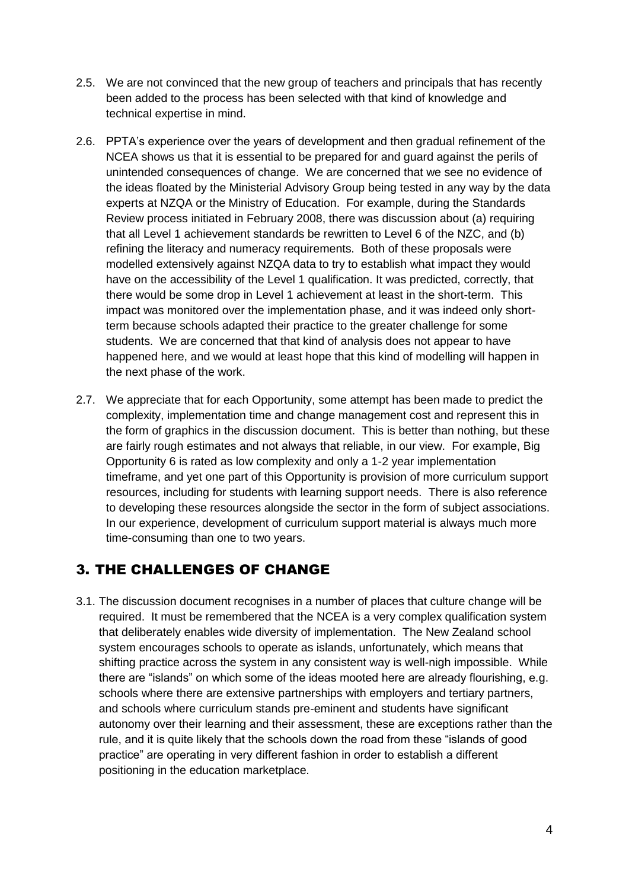- 2.5. We are not convinced that the new group of teachers and principals that has recently been added to the process has been selected with that kind of knowledge and technical expertise in mind.
- 2.6. PPTA's experience over the years of development and then gradual refinement of the NCEA shows us that it is essential to be prepared for and guard against the perils of unintended consequences of change. We are concerned that we see no evidence of the ideas floated by the Ministerial Advisory Group being tested in any way by the data experts at NZQA or the Ministry of Education. For example, during the Standards Review process initiated in February 2008, there was discussion about (a) requiring that all Level 1 achievement standards be rewritten to Level 6 of the NZC, and (b) refining the literacy and numeracy requirements. Both of these proposals were modelled extensively against NZQA data to try to establish what impact they would have on the accessibility of the Level 1 qualification. It was predicted, correctly, that there would be some drop in Level 1 achievement at least in the short-term. This impact was monitored over the implementation phase, and it was indeed only shortterm because schools adapted their practice to the greater challenge for some students. We are concerned that that kind of analysis does not appear to have happened here, and we would at least hope that this kind of modelling will happen in the next phase of the work.
- 2.7. We appreciate that for each Opportunity, some attempt has been made to predict the complexity, implementation time and change management cost and represent this in the form of graphics in the discussion document. This is better than nothing, but these are fairly rough estimates and not always that reliable, in our view. For example, Big Opportunity 6 is rated as low complexity and only a 1-2 year implementation timeframe, and yet one part of this Opportunity is provision of more curriculum support resources, including for students with learning support needs. There is also reference to developing these resources alongside the sector in the form of subject associations. In our experience, development of curriculum support material is always much more time-consuming than one to two years.

## <span id="page-4-0"></span>3. THE CHALLENGES OF CHANGE

3.1. The discussion document recognises in a number of places that culture change will be required. It must be remembered that the NCEA is a very complex qualification system that deliberately enables wide diversity of implementation. The New Zealand school system encourages schools to operate as islands, unfortunately, which means that shifting practice across the system in any consistent way is well-nigh impossible. While there are "islands" on which some of the ideas mooted here are already flourishing, e.g. schools where there are extensive partnerships with employers and tertiary partners, and schools where curriculum stands pre-eminent and students have significant autonomy over their learning and their assessment, these are exceptions rather than the rule, and it is quite likely that the schools down the road from these "islands of good practice" are operating in very different fashion in order to establish a different positioning in the education marketplace.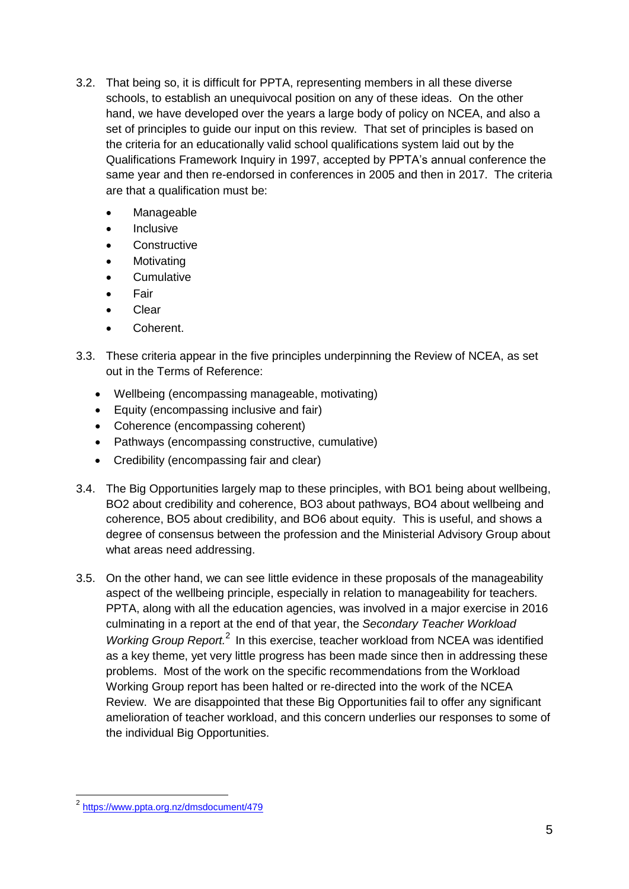- 3.2. That being so, it is difficult for PPTA, representing members in all these diverse schools, to establish an unequivocal position on any of these ideas. On the other hand, we have developed over the years a large body of policy on NCEA, and also a set of principles to guide our input on this review. That set of principles is based on the criteria for an educationally valid school qualifications system laid out by the Qualifications Framework Inquiry in 1997, accepted by PPTA's annual conference the same year and then re-endorsed in conferences in 2005 and then in 2017. The criteria are that a qualification must be:
	- Manageable
	- Inclusive
	- **Constructive**
	- **Motivating**
	- **Cumulative**
	- Fair
	- Clear
	- Coherent.
- 3.3. These criteria appear in the five principles underpinning the Review of NCEA, as set out in the Terms of Reference:
	- Wellbeing (encompassing manageable, motivating)
	- Equity (encompassing inclusive and fair)
	- Coherence (encompassing coherent)
	- Pathways (encompassing constructive, cumulative)
	- Credibility (encompassing fair and clear)
- 3.4. The Big Opportunities largely map to these principles, with BO1 being about wellbeing, BO2 about credibility and coherence, BO3 about pathways, BO4 about wellbeing and coherence, BO5 about credibility, and BO6 about equity. This is useful, and shows a degree of consensus between the profession and the Ministerial Advisory Group about what areas need addressing.
- 3.5. On the other hand, we can see little evidence in these proposals of the manageability aspect of the wellbeing principle, especially in relation to manageability for teachers. PPTA, along with all the education agencies, was involved in a major exercise in 2016 culminating in a report at the end of that year, the *Secondary Teacher Workload*  Working Group Report.<sup>2</sup> In this exercise, teacher workload from NCEA was identified as a key theme, yet very little progress has been made since then in addressing these problems. Most of the work on the specific recommendations from the Workload Working Group report has been halted or re-directed into the work of the NCEA Review. We are disappointed that these Big Opportunities fail to offer any significant amelioration of teacher workload, and this concern underlies our responses to some of the individual Big Opportunities.

 2 <https://www.ppta.org.nz/dmsdocument/479>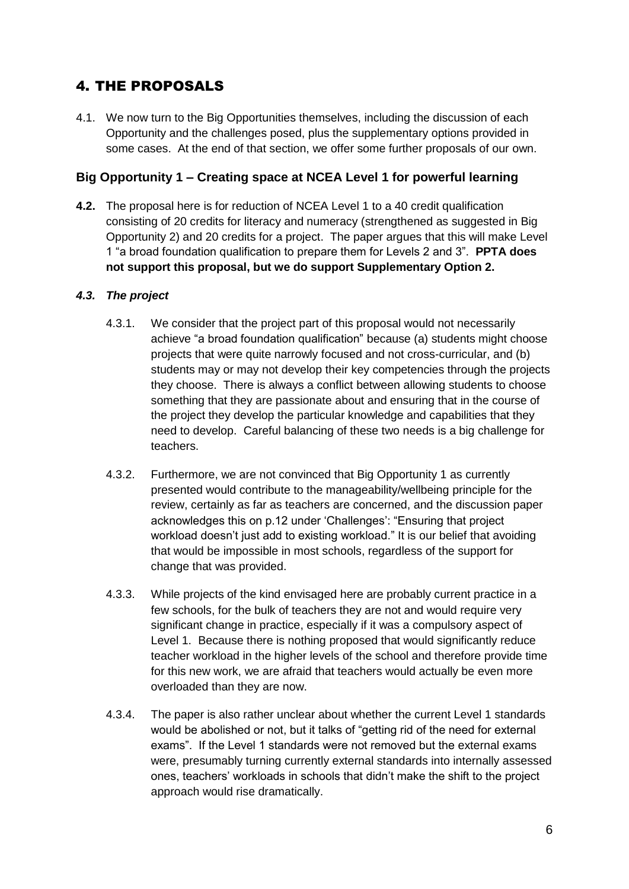# <span id="page-6-0"></span>4. THE PROPOSALS

4.1. We now turn to the Big Opportunities themselves, including the discussion of each Opportunity and the challenges posed, plus the supplementary options provided in some cases. At the end of that section, we offer some further proposals of our own.

### <span id="page-6-1"></span>**Big Opportunity 1 – Creating space at NCEA Level 1 for powerful learning**

**4.2.** The proposal here is for reduction of NCEA Level 1 to a 40 credit qualification consisting of 20 credits for literacy and numeracy (strengthened as suggested in Big Opportunity 2) and 20 credits for a project. The paper argues that this will make Level 1 "a broad foundation qualification to prepare them for Levels 2 and 3". **PPTA does not support this proposal, but we do support Supplementary Option 2.** 

#### <span id="page-6-2"></span>*4.3. The project*

- 4.3.1. We consider that the project part of this proposal would not necessarily achieve "a broad foundation qualification" because (a) students might choose projects that were quite narrowly focused and not cross-curricular, and (b) students may or may not develop their key competencies through the projects they choose. There is always a conflict between allowing students to choose something that they are passionate about and ensuring that in the course of the project they develop the particular knowledge and capabilities that they need to develop. Careful balancing of these two needs is a big challenge for teachers.
- 4.3.2. Furthermore, we are not convinced that Big Opportunity 1 as currently presented would contribute to the manageability/wellbeing principle for the review, certainly as far as teachers are concerned, and the discussion paper acknowledges this on p.12 under 'Challenges': "Ensuring that project workload doesn't just add to existing workload." It is our belief that avoiding that would be impossible in most schools, regardless of the support for change that was provided.
- 4.3.3. While projects of the kind envisaged here are probably current practice in a few schools, for the bulk of teachers they are not and would require very significant change in practice, especially if it was a compulsory aspect of Level 1. Because there is nothing proposed that would significantly reduce teacher workload in the higher levels of the school and therefore provide time for this new work, we are afraid that teachers would actually be even more overloaded than they are now.
- 4.3.4. The paper is also rather unclear about whether the current Level 1 standards would be abolished or not, but it talks of "getting rid of the need for external exams". If the Level 1 standards were not removed but the external exams were, presumably turning currently external standards into internally assessed ones, teachers' workloads in schools that didn't make the shift to the project approach would rise dramatically.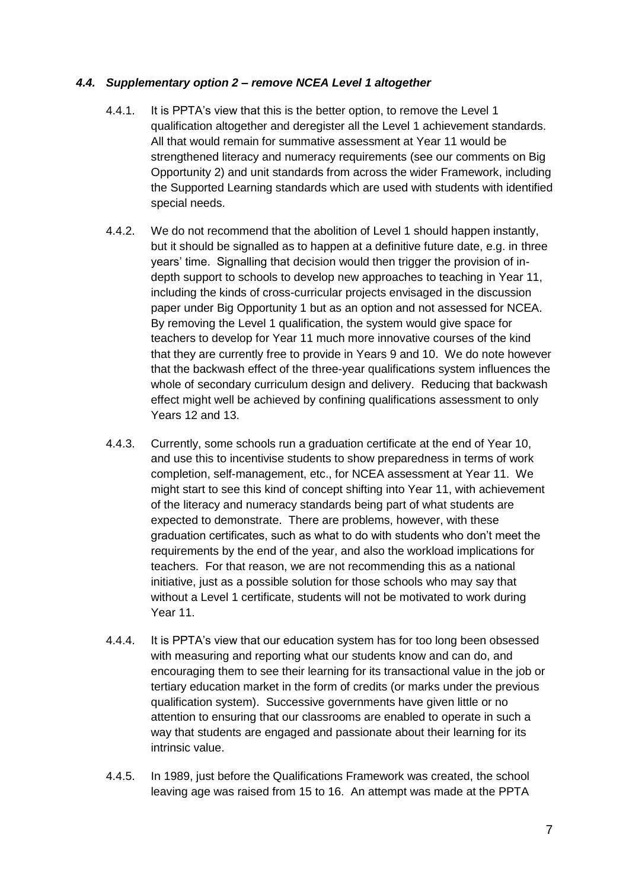#### <span id="page-7-0"></span>*4.4. Supplementary option 2 – remove NCEA Level 1 altogether*

- 4.4.1. It is PPTA's view that this is the better option, to remove the Level 1 qualification altogether and deregister all the Level 1 achievement standards. All that would remain for summative assessment at Year 11 would be strengthened literacy and numeracy requirements (see our comments on Big Opportunity 2) and unit standards from across the wider Framework, including the Supported Learning standards which are used with students with identified special needs.
- 4.4.2. We do not recommend that the abolition of Level 1 should happen instantly, but it should be signalled as to happen at a definitive future date, e.g. in three years' time. Signalling that decision would then trigger the provision of indepth support to schools to develop new approaches to teaching in Year 11, including the kinds of cross-curricular projects envisaged in the discussion paper under Big Opportunity 1 but as an option and not assessed for NCEA. By removing the Level 1 qualification, the system would give space for teachers to develop for Year 11 much more innovative courses of the kind that they are currently free to provide in Years 9 and 10. We do note however that the backwash effect of the three-year qualifications system influences the whole of secondary curriculum design and delivery. Reducing that backwash effect might well be achieved by confining qualifications assessment to only Years 12 and 13.
- 4.4.3. Currently, some schools run a graduation certificate at the end of Year 10, and use this to incentivise students to show preparedness in terms of work completion, self-management, etc., for NCEA assessment at Year 11. We might start to see this kind of concept shifting into Year 11, with achievement of the literacy and numeracy standards being part of what students are expected to demonstrate. There are problems, however, with these graduation certificates, such as what to do with students who don't meet the requirements by the end of the year, and also the workload implications for teachers. For that reason, we are not recommending this as a national initiative, just as a possible solution for those schools who may say that without a Level 1 certificate, students will not be motivated to work during Year 11.
- 4.4.4. It is PPTA's view that our education system has for too long been obsessed with measuring and reporting what our students know and can do, and encouraging them to see their learning for its transactional value in the job or tertiary education market in the form of credits (or marks under the previous qualification system). Successive governments have given little or no attention to ensuring that our classrooms are enabled to operate in such a way that students are engaged and passionate about their learning for its intrinsic value.
- 4.4.5. In 1989, just before the Qualifications Framework was created, the school leaving age was raised from 15 to 16. An attempt was made at the PPTA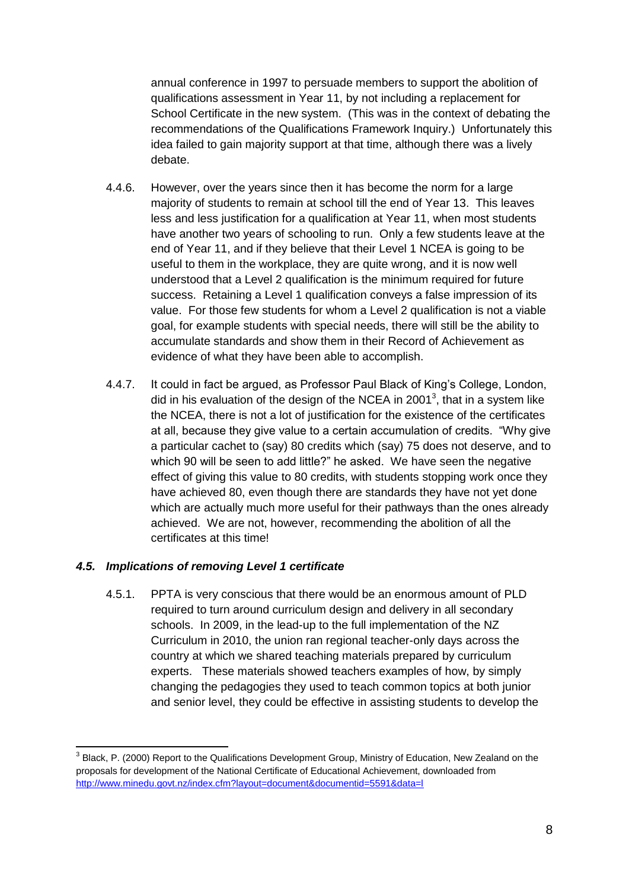annual conference in 1997 to persuade members to support the abolition of qualifications assessment in Year 11, by not including a replacement for School Certificate in the new system. (This was in the context of debating the recommendations of the Qualifications Framework Inquiry.) Unfortunately this idea failed to gain majority support at that time, although there was a lively debate.

- 4.4.6. However, over the years since then it has become the norm for a large majority of students to remain at school till the end of Year 13. This leaves less and less justification for a qualification at Year 11, when most students have another two years of schooling to run. Only a few students leave at the end of Year 11, and if they believe that their Level 1 NCEA is going to be useful to them in the workplace, they are quite wrong, and it is now well understood that a Level 2 qualification is the minimum required for future success. Retaining a Level 1 qualification conveys a false impression of its value. For those few students for whom a Level 2 qualification is not a viable goal, for example students with special needs, there will still be the ability to accumulate standards and show them in their Record of Achievement as evidence of what they have been able to accomplish.
- 4.4.7. It could in fact be argued, as Professor Paul Black of King's College, London, did in his evaluation of the design of the NCEA in 2001<sup>3</sup>, that in a system like the NCEA, there is not a lot of justification for the existence of the certificates at all, because they give value to a certain accumulation of credits. "Why give a particular cachet to (say) 80 credits which (say) 75 does not deserve, and to which 90 will be seen to add little?" he asked. We have seen the negative effect of giving this value to 80 credits, with students stopping work once they have achieved 80, even though there are standards they have not yet done which are actually much more useful for their pathways than the ones already achieved. We are not, however, recommending the abolition of all the certificates at this time!

#### <span id="page-8-0"></span>*4.5. Implications of removing Level 1 certificate*

1

4.5.1. PPTA is very conscious that there would be an enormous amount of PLD required to turn around curriculum design and delivery in all secondary schools. In 2009, in the lead-up to the full implementation of the NZ Curriculum in 2010, the union ran regional teacher-only days across the country at which we shared teaching materials prepared by curriculum experts. These materials showed teachers examples of how, by simply changing the pedagogies they used to teach common topics at both junior and senior level, they could be effective in assisting students to develop the

<sup>&</sup>lt;sup>3</sup> Black, P. (2000) Report to the Qualifications Development Group, Ministry of Education, New Zealand on the proposals for development of the National Certificate of Educational Achievement, downloaded from <http://www.minedu.govt.nz/index.cfm?layout=document&documentid=5591&data=l>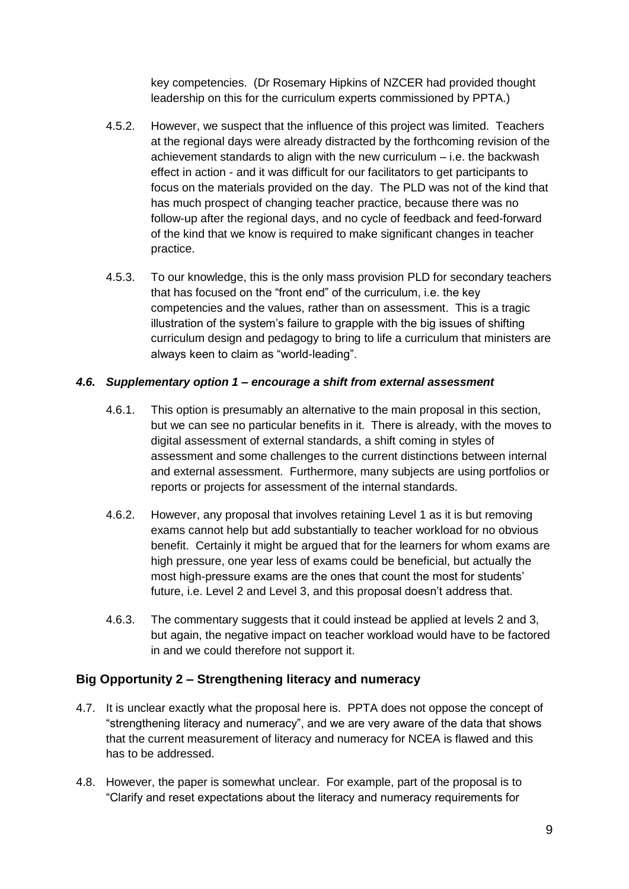key competencies. (Dr Rosemary Hipkins of NZCER had provided thought leadership on this for the curriculum experts commissioned by PPTA.)

- 4.5.2. However, we suspect that the influence of this project was limited. Teachers at the regional days were already distracted by the forthcoming revision of the achievement standards to align with the new curriculum – i.e. the backwash effect in action - and it was difficult for our facilitators to get participants to focus on the materials provided on the day. The PLD was not of the kind that has much prospect of changing teacher practice, because there was no follow-up after the regional days, and no cycle of feedback and feed-forward of the kind that we know is required to make significant changes in teacher practice.
- 4.5.3. To our knowledge, this is the only mass provision PLD for secondary teachers that has focused on the "front end" of the curriculum, i.e. the key competencies and the values, rather than on assessment. This is a tragic illustration of the system's failure to grapple with the big issues of shifting curriculum design and pedagogy to bring to life a curriculum that ministers are always keen to claim as "world-leading".

#### <span id="page-9-0"></span>*4.6. Supplementary option 1 – encourage a shift from external assessment*

- 4.6.1. This option is presumably an alternative to the main proposal in this section, but we can see no particular benefits in it. There is already, with the moves to digital assessment of external standards, a shift coming in styles of assessment and some challenges to the current distinctions between internal and external assessment. Furthermore, many subjects are using portfolios or reports or projects for assessment of the internal standards.
- 4.6.2. However, any proposal that involves retaining Level 1 as it is but removing exams cannot help but add substantially to teacher workload for no obvious benefit. Certainly it might be argued that for the learners for whom exams are high pressure, one year less of exams could be beneficial, but actually the most high-pressure exams are the ones that count the most for students' future, i.e. Level 2 and Level 3, and this proposal doesn't address that.
- 4.6.3. The commentary suggests that it could instead be applied at levels 2 and 3, but again, the negative impact on teacher workload would have to be factored in and we could therefore not support it.

#### <span id="page-9-1"></span>**Big Opportunity 2 – Strengthening literacy and numeracy**

- 4.7. It is unclear exactly what the proposal here is. PPTA does not oppose the concept of "strengthening literacy and numeracy", and we are very aware of the data that shows that the current measurement of literacy and numeracy for NCEA is flawed and this has to be addressed.
- 4.8. However, the paper is somewhat unclear. For example, part of the proposal is to "Clarify and reset expectations about the literacy and numeracy requirements for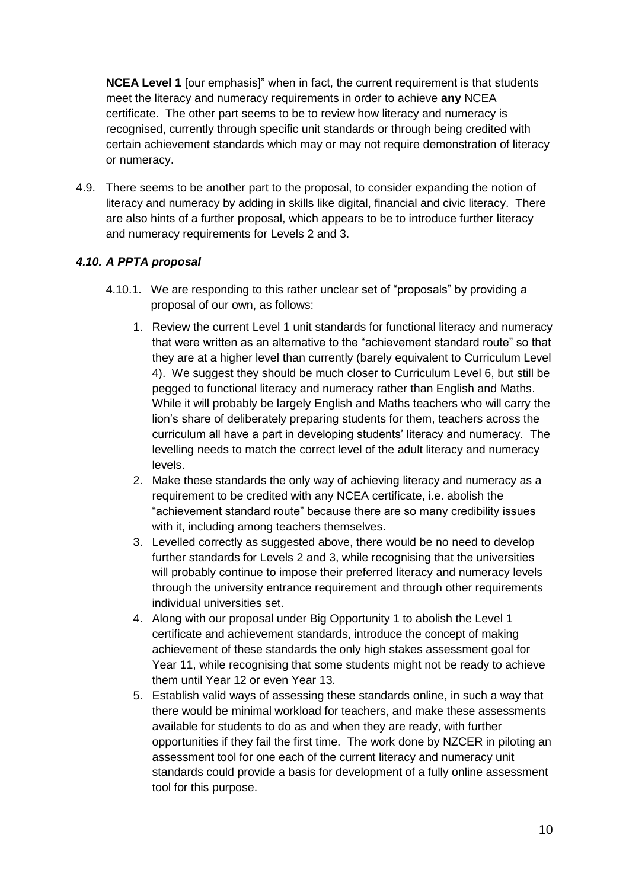**NCEA Level 1** [our emphasis]" when in fact, the current requirement is that students meet the literacy and numeracy requirements in order to achieve **any** NCEA certificate. The other part seems to be to review how literacy and numeracy is recognised, currently through specific unit standards or through being credited with certain achievement standards which may or may not require demonstration of literacy or numeracy.

4.9. There seems to be another part to the proposal, to consider expanding the notion of literacy and numeracy by adding in skills like digital, financial and civic literacy. There are also hints of a further proposal, which appears to be to introduce further literacy and numeracy requirements for Levels 2 and 3.

#### <span id="page-10-0"></span>*4.10. A PPTA proposal*

- 4.10.1. We are responding to this rather unclear set of "proposals" by providing a proposal of our own, as follows:
	- 1. Review the current Level 1 unit standards for functional literacy and numeracy that were written as an alternative to the "achievement standard route" so that they are at a higher level than currently (barely equivalent to Curriculum Level 4). We suggest they should be much closer to Curriculum Level 6, but still be pegged to functional literacy and numeracy rather than English and Maths. While it will probably be largely English and Maths teachers who will carry the lion's share of deliberately preparing students for them, teachers across the curriculum all have a part in developing students' literacy and numeracy. The levelling needs to match the correct level of the adult literacy and numeracy levels.
	- 2. Make these standards the only way of achieving literacy and numeracy as a requirement to be credited with any NCEA certificate, i.e. abolish the "achievement standard route" because there are so many credibility issues with it, including among teachers themselves.
	- 3. Levelled correctly as suggested above, there would be no need to develop further standards for Levels 2 and 3, while recognising that the universities will probably continue to impose their preferred literacy and numeracy levels through the university entrance requirement and through other requirements individual universities set.
	- 4. Along with our proposal under Big Opportunity 1 to abolish the Level 1 certificate and achievement standards, introduce the concept of making achievement of these standards the only high stakes assessment goal for Year 11, while recognising that some students might not be ready to achieve them until Year 12 or even Year 13.
	- 5. Establish valid ways of assessing these standards online, in such a way that there would be minimal workload for teachers, and make these assessments available for students to do as and when they are ready, with further opportunities if they fail the first time. The work done by NZCER in piloting an assessment tool for one each of the current literacy and numeracy unit standards could provide a basis for development of a fully online assessment tool for this purpose.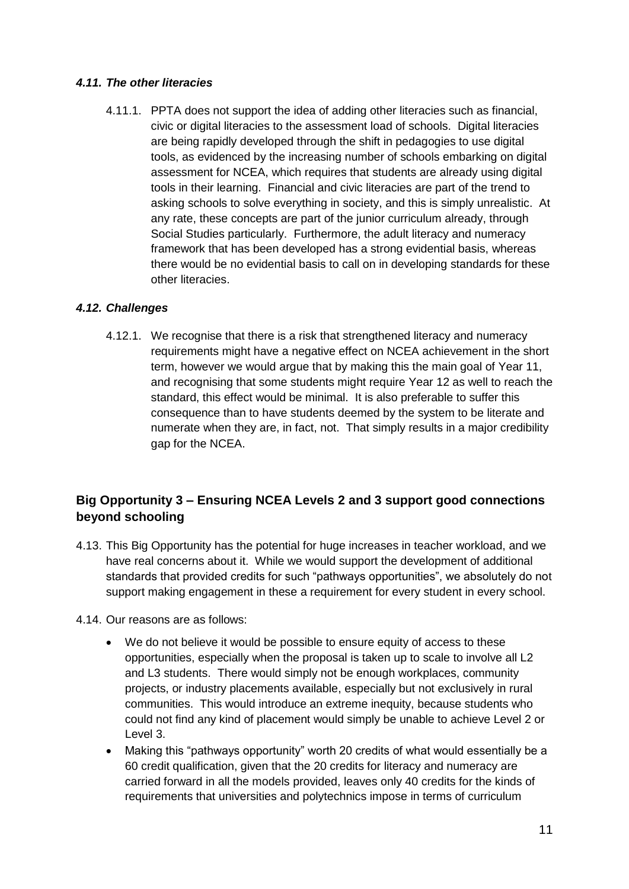#### <span id="page-11-0"></span>*4.11. The other literacies*

4.11.1. PPTA does not support the idea of adding other literacies such as financial, civic or digital literacies to the assessment load of schools. Digital literacies are being rapidly developed through the shift in pedagogies to use digital tools, as evidenced by the increasing number of schools embarking on digital assessment for NCEA, which requires that students are already using digital tools in their learning. Financial and civic literacies are part of the trend to asking schools to solve everything in society, and this is simply unrealistic. At any rate, these concepts are part of the junior curriculum already, through Social Studies particularly. Furthermore, the adult literacy and numeracy framework that has been developed has a strong evidential basis, whereas there would be no evidential basis to call on in developing standards for these other literacies.

#### <span id="page-11-1"></span>*4.12. Challenges*

4.12.1. We recognise that there is a risk that strengthened literacy and numeracy requirements might have a negative effect on NCEA achievement in the short term, however we would argue that by making this the main goal of Year 11, and recognising that some students might require Year 12 as well to reach the standard, this effect would be minimal. It is also preferable to suffer this consequence than to have students deemed by the system to be literate and numerate when they are, in fact, not. That simply results in a major credibility gap for the NCEA.

## <span id="page-11-2"></span>**Big Opportunity 3 – Ensuring NCEA Levels 2 and 3 support good connections beyond schooling**

- 4.13. This Big Opportunity has the potential for huge increases in teacher workload, and we have real concerns about it. While we would support the development of additional standards that provided credits for such "pathways opportunities", we absolutely do not support making engagement in these a requirement for every student in every school.
- 4.14. Our reasons are as follows:
	- We do not believe it would be possible to ensure equity of access to these opportunities, especially when the proposal is taken up to scale to involve all L2 and L3 students. There would simply not be enough workplaces, community projects, or industry placements available, especially but not exclusively in rural communities. This would introduce an extreme inequity, because students who could not find any kind of placement would simply be unable to achieve Level 2 or Level 3.
	- Making this "pathways opportunity" worth 20 credits of what would essentially be a 60 credit qualification, given that the 20 credits for literacy and numeracy are carried forward in all the models provided, leaves only 40 credits for the kinds of requirements that universities and polytechnics impose in terms of curriculum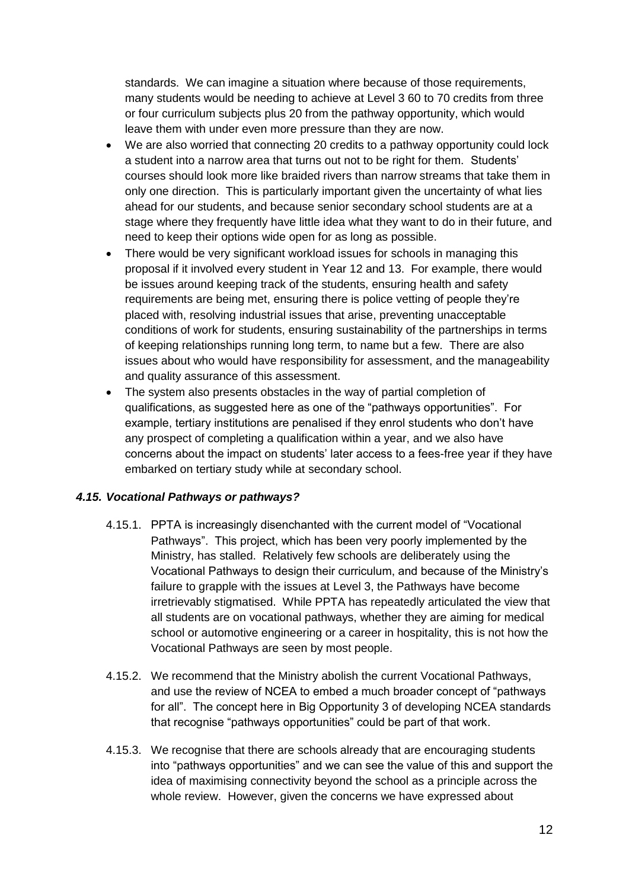standards. We can imagine a situation where because of those requirements, many students would be needing to achieve at Level 3 60 to 70 credits from three or four curriculum subjects plus 20 from the pathway opportunity, which would leave them with under even more pressure than they are now.

- We are also worried that connecting 20 credits to a pathway opportunity could lock a student into a narrow area that turns out not to be right for them. Students' courses should look more like braided rivers than narrow streams that take them in only one direction. This is particularly important given the uncertainty of what lies ahead for our students, and because senior secondary school students are at a stage where they frequently have little idea what they want to do in their future, and need to keep their options wide open for as long as possible.
- There would be very significant workload issues for schools in managing this proposal if it involved every student in Year 12 and 13. For example, there would be issues around keeping track of the students, ensuring health and safety requirements are being met, ensuring there is police vetting of people they're placed with, resolving industrial issues that arise, preventing unacceptable conditions of work for students, ensuring sustainability of the partnerships in terms of keeping relationships running long term, to name but a few. There are also issues about who would have responsibility for assessment, and the manageability and quality assurance of this assessment.
- The system also presents obstacles in the way of partial completion of qualifications, as suggested here as one of the "pathways opportunities". For example, tertiary institutions are penalised if they enrol students who don't have any prospect of completing a qualification within a year, and we also have concerns about the impact on students' later access to a fees-free year if they have embarked on tertiary study while at secondary school.

#### <span id="page-12-0"></span>*4.15. Vocational Pathways or pathways?*

- 4.15.1. PPTA is increasingly disenchanted with the current model of "Vocational Pathways". This project, which has been very poorly implemented by the Ministry, has stalled. Relatively few schools are deliberately using the Vocational Pathways to design their curriculum, and because of the Ministry's failure to grapple with the issues at Level 3, the Pathways have become irretrievably stigmatised. While PPTA has repeatedly articulated the view that all students are on vocational pathways, whether they are aiming for medical school or automotive engineering or a career in hospitality, this is not how the Vocational Pathways are seen by most people.
- 4.15.2. We recommend that the Ministry abolish the current Vocational Pathways, and use the review of NCEA to embed a much broader concept of "pathways for all". The concept here in Big Opportunity 3 of developing NCEA standards that recognise "pathways opportunities" could be part of that work.
- 4.15.3. We recognise that there are schools already that are encouraging students into "pathways opportunities" and we can see the value of this and support the idea of maximising connectivity beyond the school as a principle across the whole review. However, given the concerns we have expressed about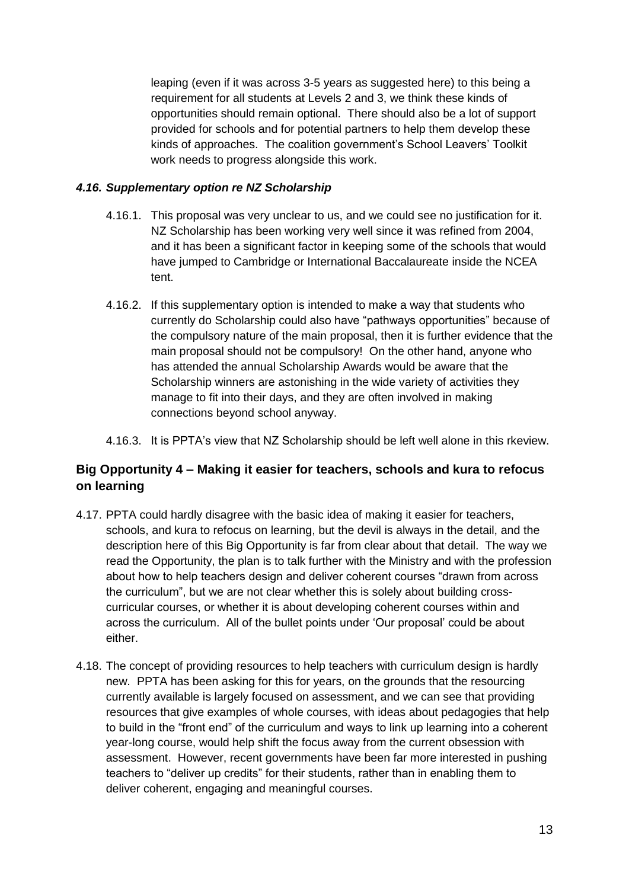leaping (even if it was across 3-5 years as suggested here) to this being a requirement for all students at Levels 2 and 3, we think these kinds of opportunities should remain optional. There should also be a lot of support provided for schools and for potential partners to help them develop these kinds of approaches. The coalition government's School Leavers' Toolkit work needs to progress alongside this work.

#### <span id="page-13-0"></span>*4.16. Supplementary option re NZ Scholarship*

- 4.16.1. This proposal was very unclear to us, and we could see no justification for it. NZ Scholarship has been working very well since it was refined from 2004, and it has been a significant factor in keeping some of the schools that would have jumped to Cambridge or International Baccalaureate inside the NCEA tent.
- 4.16.2. If this supplementary option is intended to make a way that students who currently do Scholarship could also have "pathways opportunities" because of the compulsory nature of the main proposal, then it is further evidence that the main proposal should not be compulsory! On the other hand, anyone who has attended the annual Scholarship Awards would be aware that the Scholarship winners are astonishing in the wide variety of activities they manage to fit into their days, and they are often involved in making connections beyond school anyway.
- 4.16.3. It is PPTA's view that NZ Scholarship should be left well alone in this rkeview.

## <span id="page-13-1"></span>**Big Opportunity 4 – Making it easier for teachers, schools and kura to refocus on learning**

- 4.17. PPTA could hardly disagree with the basic idea of making it easier for teachers, schools, and kura to refocus on learning, but the devil is always in the detail, and the description here of this Big Opportunity is far from clear about that detail. The way we read the Opportunity, the plan is to talk further with the Ministry and with the profession about how to help teachers design and deliver coherent courses "drawn from across the curriculum", but we are not clear whether this is solely about building crosscurricular courses, or whether it is about developing coherent courses within and across the curriculum. All of the bullet points under 'Our proposal' could be about either.
- 4.18. The concept of providing resources to help teachers with curriculum design is hardly new. PPTA has been asking for this for years, on the grounds that the resourcing currently available is largely focused on assessment, and we can see that providing resources that give examples of whole courses, with ideas about pedagogies that help to build in the "front end" of the curriculum and ways to link up learning into a coherent year-long course, would help shift the focus away from the current obsession with assessment. However, recent governments have been far more interested in pushing teachers to "deliver up credits" for their students, rather than in enabling them to deliver coherent, engaging and meaningful courses.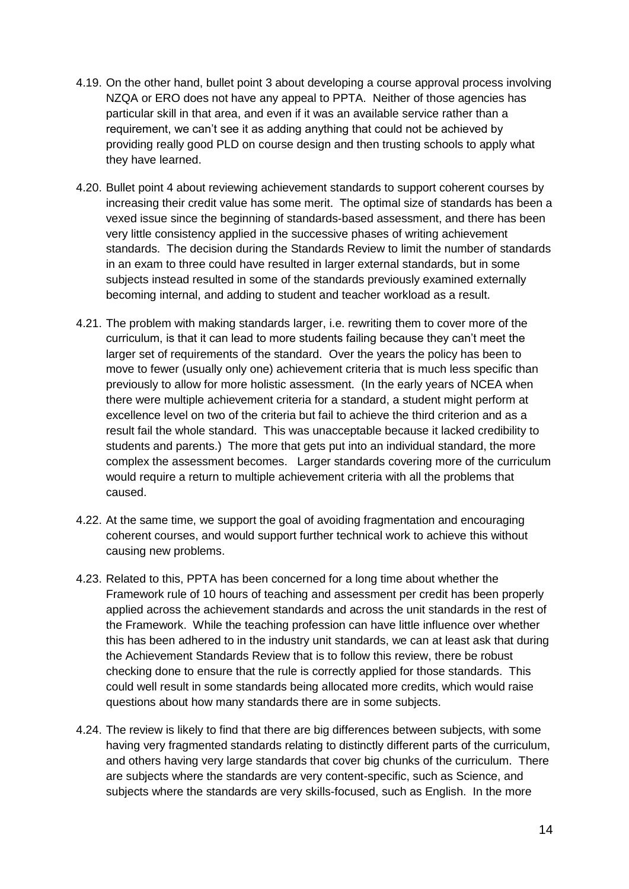- 4.19. On the other hand, bullet point 3 about developing a course approval process involving NZQA or ERO does not have any appeal to PPTA. Neither of those agencies has particular skill in that area, and even if it was an available service rather than a requirement, we can't see it as adding anything that could not be achieved by providing really good PLD on course design and then trusting schools to apply what they have learned.
- 4.20. Bullet point 4 about reviewing achievement standards to support coherent courses by increasing their credit value has some merit. The optimal size of standards has been a vexed issue since the beginning of standards-based assessment, and there has been very little consistency applied in the successive phases of writing achievement standards. The decision during the Standards Review to limit the number of standards in an exam to three could have resulted in larger external standards, but in some subjects instead resulted in some of the standards previously examined externally becoming internal, and adding to student and teacher workload as a result.
- 4.21. The problem with making standards larger, i.e. rewriting them to cover more of the curriculum, is that it can lead to more students failing because they can't meet the larger set of requirements of the standard. Over the years the policy has been to move to fewer (usually only one) achievement criteria that is much less specific than previously to allow for more holistic assessment. (In the early years of NCEA when there were multiple achievement criteria for a standard, a student might perform at excellence level on two of the criteria but fail to achieve the third criterion and as a result fail the whole standard. This was unacceptable because it lacked credibility to students and parents.) The more that gets put into an individual standard, the more complex the assessment becomes. Larger standards covering more of the curriculum would require a return to multiple achievement criteria with all the problems that caused.
- 4.22. At the same time, we support the goal of avoiding fragmentation and encouraging coherent courses, and would support further technical work to achieve this without causing new problems.
- 4.23. Related to this, PPTA has been concerned for a long time about whether the Framework rule of 10 hours of teaching and assessment per credit has been properly applied across the achievement standards and across the unit standards in the rest of the Framework. While the teaching profession can have little influence over whether this has been adhered to in the industry unit standards, we can at least ask that during the Achievement Standards Review that is to follow this review, there be robust checking done to ensure that the rule is correctly applied for those standards. This could well result in some standards being allocated more credits, which would raise questions about how many standards there are in some subjects.
- 4.24. The review is likely to find that there are big differences between subjects, with some having very fragmented standards relating to distinctly different parts of the curriculum, and others having very large standards that cover big chunks of the curriculum. There are subjects where the standards are very content-specific, such as Science, and subjects where the standards are very skills-focused, such as English. In the more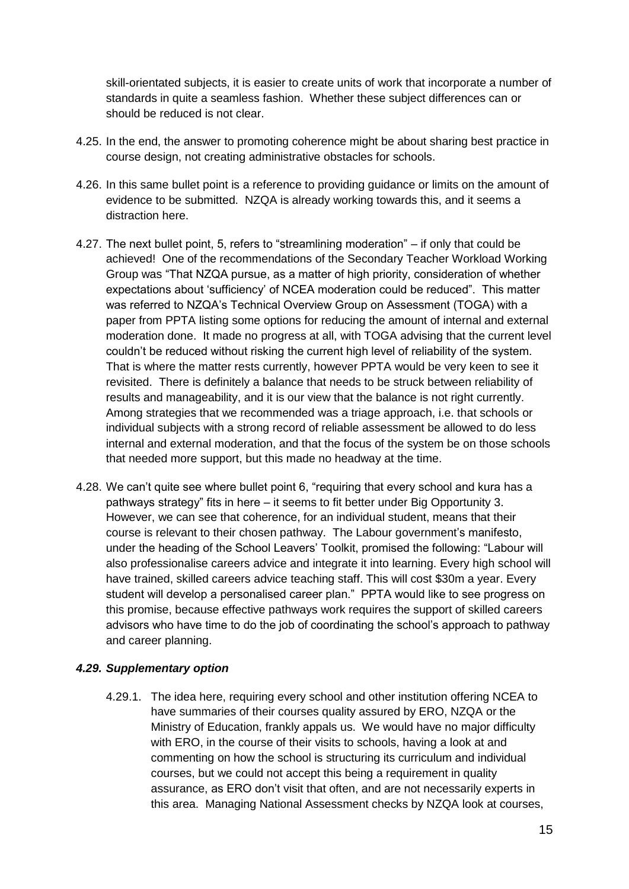skill-orientated subjects, it is easier to create units of work that incorporate a number of standards in quite a seamless fashion. Whether these subject differences can or should be reduced is not clear.

- 4.25. In the end, the answer to promoting coherence might be about sharing best practice in course design, not creating administrative obstacles for schools.
- 4.26. In this same bullet point is a reference to providing guidance or limits on the amount of evidence to be submitted. NZQA is already working towards this, and it seems a distraction here.
- 4.27. The next bullet point, 5, refers to "streamlining moderation" if only that could be achieved! One of the recommendations of the Secondary Teacher Workload Working Group was "That NZQA pursue, as a matter of high priority, consideration of whether expectations about 'sufficiency' of NCEA moderation could be reduced". This matter was referred to NZQA's Technical Overview Group on Assessment (TOGA) with a paper from PPTA listing some options for reducing the amount of internal and external moderation done. It made no progress at all, with TOGA advising that the current level couldn't be reduced without risking the current high level of reliability of the system. That is where the matter rests currently, however PPTA would be very keen to see it revisited. There is definitely a balance that needs to be struck between reliability of results and manageability, and it is our view that the balance is not right currently. Among strategies that we recommended was a triage approach, i.e. that schools or individual subjects with a strong record of reliable assessment be allowed to do less internal and external moderation, and that the focus of the system be on those schools that needed more support, but this made no headway at the time.
- 4.28. We can't quite see where bullet point 6, "requiring that every school and kura has a pathways strategy" fits in here – it seems to fit better under Big Opportunity 3. However, we can see that coherence, for an individual student, means that their course is relevant to their chosen pathway. The Labour government's manifesto, under the heading of the School Leavers' Toolkit, promised the following: "Labour will also professionalise careers advice and integrate it into learning. Every high school will have trained, skilled careers advice teaching staff. This will cost \$30m a year. Every student will develop a personalised career plan." PPTA would like to see progress on this promise, because effective pathways work requires the support of skilled careers advisors who have time to do the job of coordinating the school's approach to pathway and career planning.

#### <span id="page-15-0"></span>*4.29. Supplementary option*

4.29.1. The idea here, requiring every school and other institution offering NCEA to have summaries of their courses quality assured by ERO, NZQA or the Ministry of Education, frankly appals us. We would have no major difficulty with ERO, in the course of their visits to schools, having a look at and commenting on how the school is structuring its curriculum and individual courses, but we could not accept this being a requirement in quality assurance, as ERO don't visit that often, and are not necessarily experts in this area. Managing National Assessment checks by NZQA look at courses,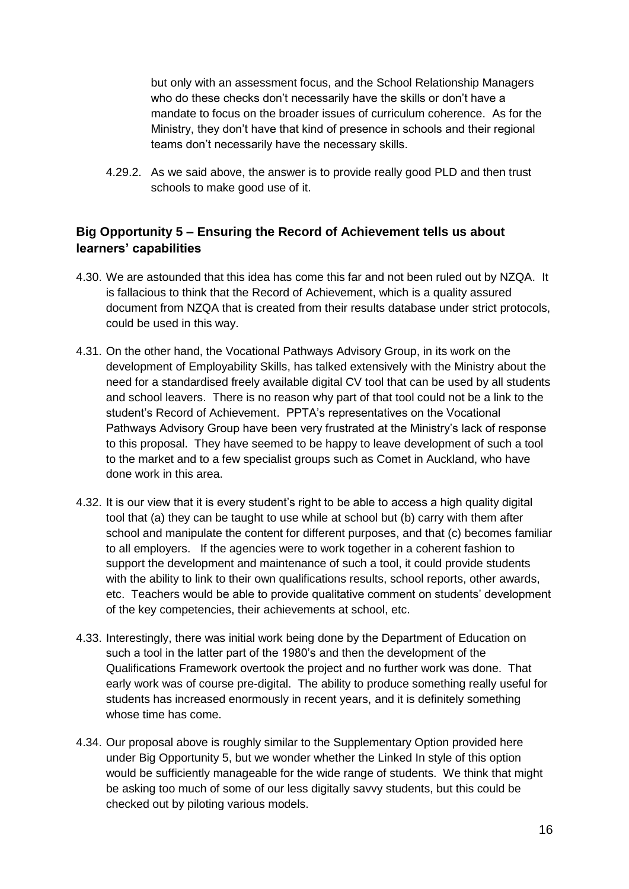but only with an assessment focus, and the School Relationship Managers who do these checks don't necessarily have the skills or don't have a mandate to focus on the broader issues of curriculum coherence. As for the Ministry, they don't have that kind of presence in schools and their regional teams don't necessarily have the necessary skills.

4.29.2. As we said above, the answer is to provide really good PLD and then trust schools to make good use of it.

### <span id="page-16-0"></span>**Big Opportunity 5 – Ensuring the Record of Achievement tells us about learners' capabilities**

- 4.30. We are astounded that this idea has come this far and not been ruled out by NZQA. It is fallacious to think that the Record of Achievement, which is a quality assured document from NZQA that is created from their results database under strict protocols, could be used in this way.
- 4.31. On the other hand, the Vocational Pathways Advisory Group, in its work on the development of Employability Skills, has talked extensively with the Ministry about the need for a standardised freely available digital CV tool that can be used by all students and school leavers. There is no reason why part of that tool could not be a link to the student's Record of Achievement. PPTA's representatives on the Vocational Pathways Advisory Group have been very frustrated at the Ministry's lack of response to this proposal. They have seemed to be happy to leave development of such a tool to the market and to a few specialist groups such as Comet in Auckland, who have done work in this area.
- 4.32. It is our view that it is every student's right to be able to access a high quality digital tool that (a) they can be taught to use while at school but (b) carry with them after school and manipulate the content for different purposes, and that (c) becomes familiar to all employers. If the agencies were to work together in a coherent fashion to support the development and maintenance of such a tool, it could provide students with the ability to link to their own qualifications results, school reports, other awards, etc. Teachers would be able to provide qualitative comment on students' development of the key competencies, their achievements at school, etc.
- 4.33. Interestingly, there was initial work being done by the Department of Education on such a tool in the latter part of the 1980's and then the development of the Qualifications Framework overtook the project and no further work was done. That early work was of course pre-digital. The ability to produce something really useful for students has increased enormously in recent years, and it is definitely something whose time has come.
- 4.34. Our proposal above is roughly similar to the Supplementary Option provided here under Big Opportunity 5, but we wonder whether the Linked In style of this option would be sufficiently manageable for the wide range of students. We think that might be asking too much of some of our less digitally savvy students, but this could be checked out by piloting various models.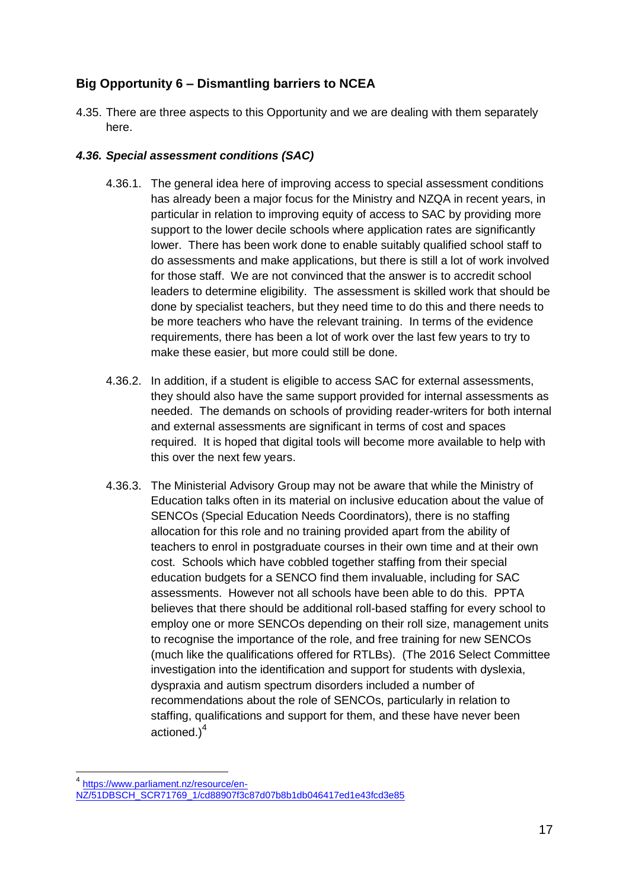## <span id="page-17-0"></span>**Big Opportunity 6 – Dismantling barriers to NCEA**

4.35. There are three aspects to this Opportunity and we are dealing with them separately here.

#### <span id="page-17-1"></span>*4.36. Special assessment conditions (SAC)*

- 4.36.1. The general idea here of improving access to special assessment conditions has already been a major focus for the Ministry and NZQA in recent years, in particular in relation to improving equity of access to SAC by providing more support to the lower decile schools where application rates are significantly lower. There has been work done to enable suitably qualified school staff to do assessments and make applications, but there is still a lot of work involved for those staff. We are not convinced that the answer is to accredit school leaders to determine eligibility. The assessment is skilled work that should be done by specialist teachers, but they need time to do this and there needs to be more teachers who have the relevant training. In terms of the evidence requirements, there has been a lot of work over the last few years to try to make these easier, but more could still be done.
- 4.36.2. In addition, if a student is eligible to access SAC for external assessments, they should also have the same support provided for internal assessments as needed. The demands on schools of providing reader-writers for both internal and external assessments are significant in terms of cost and spaces required. It is hoped that digital tools will become more available to help with this over the next few years.
- 4.36.3. The Ministerial Advisory Group may not be aware that while the Ministry of Education talks often in its material on inclusive education about the value of SENCOs (Special Education Needs Coordinators), there is no staffing allocation for this role and no training provided apart from the ability of teachers to enrol in postgraduate courses in their own time and at their own cost. Schools which have cobbled together staffing from their special education budgets for a SENCO find them invaluable, including for SAC assessments. However not all schools have been able to do this. PPTA believes that there should be additional roll-based staffing for every school to employ one or more SENCOs depending on their roll size, management units to recognise the importance of the role, and free training for new SENCOs (much like the qualifications offered for RTLBs). (The 2016 Select Committee investigation into the identification and support for students with dyslexia, dyspraxia and autism spectrum disorders included a number of recommendations about the role of SENCOs, particularly in relation to staffing, qualifications and support for them, and these have never been actioned.<sup>4</sup>

<sup>1</sup> 4 [https://www.parliament.nz/resource/en-](https://www.parliament.nz/resource/en-NZ/51DBSCH_SCR71769_1/cd88907f3c87d07b8b1db046417ed1e43fcd3e85)

[NZ/51DBSCH\\_SCR71769\\_1/cd88907f3c87d07b8b1db046417ed1e43fcd3e85](https://www.parliament.nz/resource/en-NZ/51DBSCH_SCR71769_1/cd88907f3c87d07b8b1db046417ed1e43fcd3e85)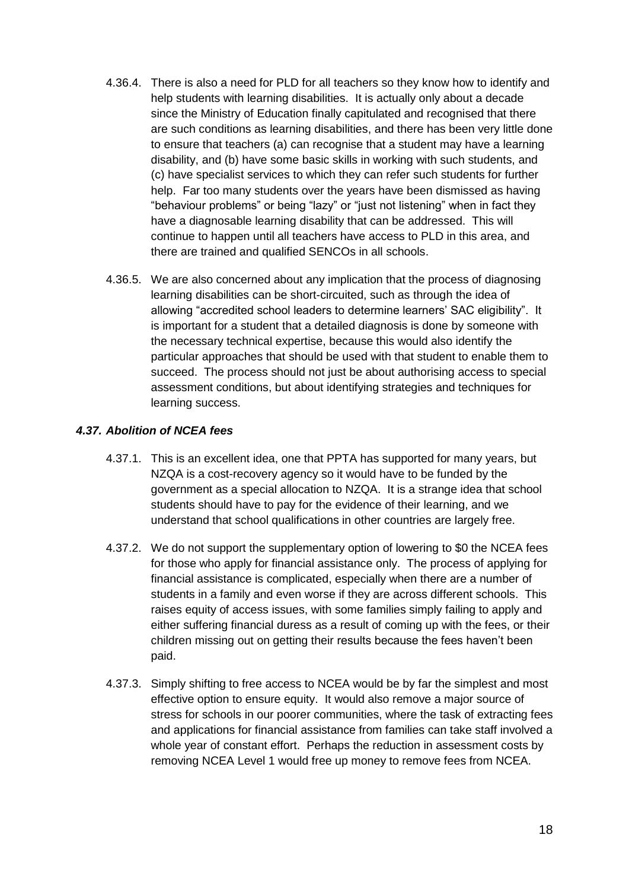- 4.36.4. There is also a need for PLD for all teachers so they know how to identify and help students with learning disabilities. It is actually only about a decade since the Ministry of Education finally capitulated and recognised that there are such conditions as learning disabilities, and there has been very little done to ensure that teachers (a) can recognise that a student may have a learning disability, and (b) have some basic skills in working with such students, and (c) have specialist services to which they can refer such students for further help. Far too many students over the years have been dismissed as having "behaviour problems" or being "lazy" or "just not listening" when in fact they have a diagnosable learning disability that can be addressed. This will continue to happen until all teachers have access to PLD in this area, and there are trained and qualified SENCOs in all schools.
- 4.36.5. We are also concerned about any implication that the process of diagnosing learning disabilities can be short-circuited, such as through the idea of allowing "accredited school leaders to determine learners' SAC eligibility". It is important for a student that a detailed diagnosis is done by someone with the necessary technical expertise, because this would also identify the particular approaches that should be used with that student to enable them to succeed. The process should not just be about authorising access to special assessment conditions, but about identifying strategies and techniques for learning success.

#### <span id="page-18-0"></span>*4.37. Abolition of NCEA fees*

- 4.37.1. This is an excellent idea, one that PPTA has supported for many years, but NZQA is a cost-recovery agency so it would have to be funded by the government as a special allocation to NZQA. It is a strange idea that school students should have to pay for the evidence of their learning, and we understand that school qualifications in other countries are largely free.
- 4.37.2. We do not support the supplementary option of lowering to \$0 the NCEA fees for those who apply for financial assistance only. The process of applying for financial assistance is complicated, especially when there are a number of students in a family and even worse if they are across different schools. This raises equity of access issues, with some families simply failing to apply and either suffering financial duress as a result of coming up with the fees, or their children missing out on getting their results because the fees haven't been paid.
- <span id="page-18-1"></span>4.37.3. Simply shifting to free access to NCEA would be by far the simplest and most effective option to ensure equity. It would also remove a major source of stress for schools in our poorer communities, where the task of extracting fees and applications for financial assistance from families can take staff involved a whole year of constant effort. Perhaps the reduction in assessment costs by removing NCEA Level 1 would free up money to remove fees from NCEA.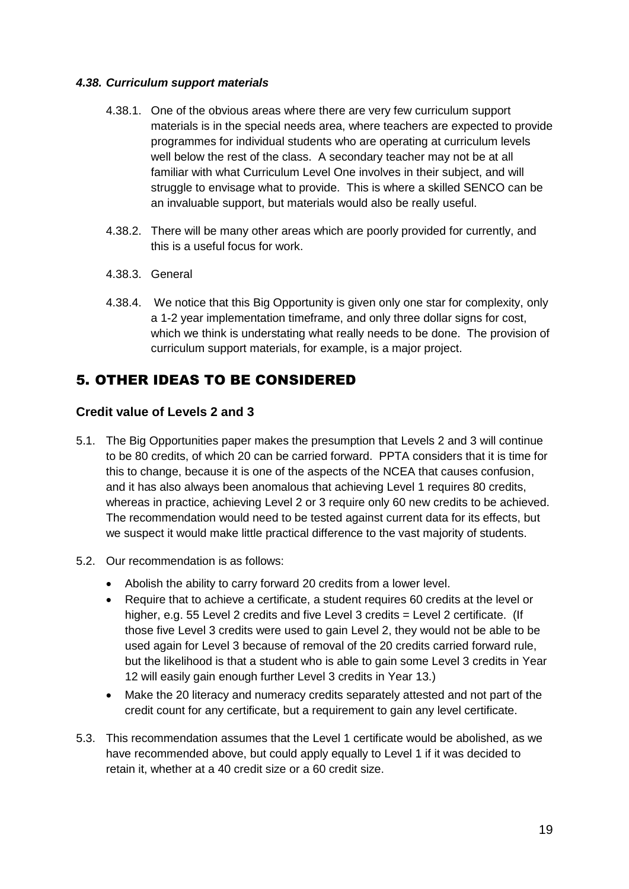#### *4.38. Curriculum support materials*

- 4.38.1. One of the obvious areas where there are very few curriculum support materials is in the special needs area, where teachers are expected to provide programmes for individual students who are operating at curriculum levels well below the rest of the class. A secondary teacher may not be at all familiar with what Curriculum Level One involves in their subject, and will struggle to envisage what to provide. This is where a skilled SENCO can be an invaluable support, but materials would also be really useful.
- 4.38.2. There will be many other areas which are poorly provided for currently, and this is a useful focus for work.
- 4.38.3. General
- 4.38.4. We notice that this Big Opportunity is given only one star for complexity, only a 1-2 year implementation timeframe, and only three dollar signs for cost, which we think is understating what really needs to be done. The provision of curriculum support materials, for example, is a major project.

# <span id="page-19-0"></span>5. OTHER IDEAS TO BE CONSIDERED

### <span id="page-19-1"></span>**Credit value of Levels 2 and 3**

- 5.1. The Big Opportunities paper makes the presumption that Levels 2 and 3 will continue to be 80 credits, of which 20 can be carried forward. PPTA considers that it is time for this to change, because it is one of the aspects of the NCEA that causes confusion, and it has also always been anomalous that achieving Level 1 requires 80 credits, whereas in practice, achieving Level 2 or 3 require only 60 new credits to be achieved. The recommendation would need to be tested against current data for its effects, but we suspect it would make little practical difference to the vast majority of students.
- 5.2. Our recommendation is as follows:
	- Abolish the ability to carry forward 20 credits from a lower level.
	- Require that to achieve a certificate, a student requires 60 credits at the level or higher, e.g. 55 Level 2 credits and five Level 3 credits = Level 2 certificate. (If those five Level 3 credits were used to gain Level 2, they would not be able to be used again for Level 3 because of removal of the 20 credits carried forward rule, but the likelihood is that a student who is able to gain some Level 3 credits in Year 12 will easily gain enough further Level 3 credits in Year 13.)
	- Make the 20 literacy and numeracy credits separately attested and not part of the credit count for any certificate, but a requirement to gain any level certificate.
- 5.3. This recommendation assumes that the Level 1 certificate would be abolished, as we have recommended above, but could apply equally to Level 1 if it was decided to retain it, whether at a 40 credit size or a 60 credit size.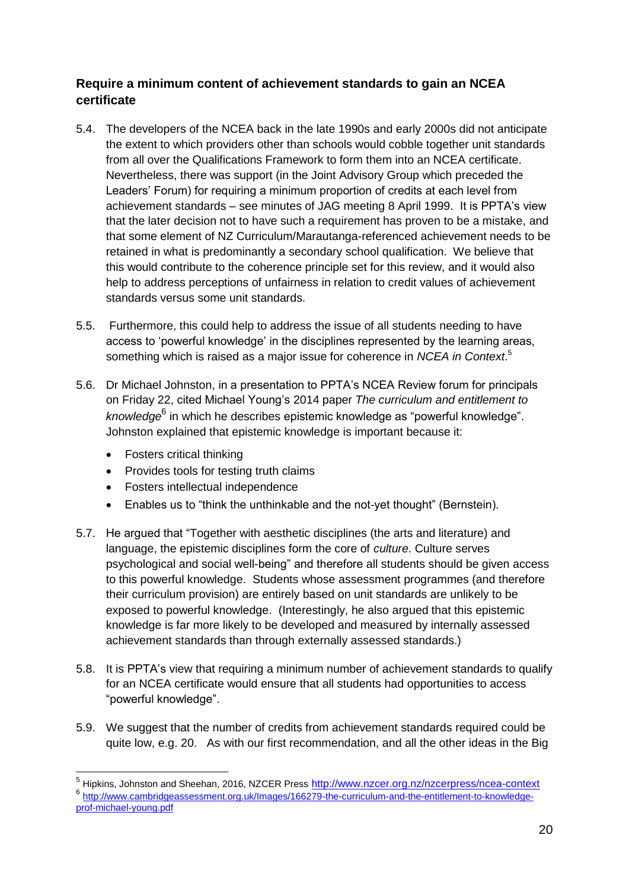### <span id="page-20-0"></span>**Require a minimum content of achievement standards to gain an NCEA certificate**

- 5.4. The developers of the NCEA back in the late 1990s and early 2000s did not anticipate the extent to which providers other than schools would cobble together unit standards from all over the Qualifications Framework to form them into an NCEA certificate. Nevertheless, there was support (in the Joint Advisory Group which preceded the Leaders' Forum) for requiring a minimum proportion of credits at each level from achievement standards – see minutes of JAG meeting 8 April 1999. It is PPTA's view that the later decision not to have such a requirement has proven to be a mistake, and that some element of NZ Curriculum/Marautanga-referenced achievement needs to be retained in what is predominantly a secondary school qualification. We believe that this would contribute to the coherence principle set for this review, and it would also help to address perceptions of unfairness in relation to credit values of achievement standards versus some unit standards.
- 5.5. Furthermore, this could help to address the issue of all students needing to have access to 'powerful knowledge' in the disciplines represented by the learning areas, something which is raised as a major issue for coherence in *NCEA in Context*. 5
- 5.6. Dr Michael Johnston, in a presentation to PPTA's NCEA Review forum for principals on Friday 22, cited Michael Young's 2014 paper *The curriculum and entitlement to*  knowledge<sup>6</sup> in which he describes epistemic knowledge as "powerful knowledge". Johnston explained that epistemic knowledge is important because it:
	- Fosters critical thinking
	- Provides tools for testing truth claims
	- Fosters intellectual independence
	- Enables us to "think the unthinkable and the not-yet thought" (Bernstein).
- 5.7. He argued that "Together with aesthetic disciplines (the arts and literature) and language, the epistemic disciplines form the core of *culture*. Culture serves psychological and social well-being" and therefore all students should be given access to this powerful knowledge. Students whose assessment programmes (and therefore their curriculum provision) are entirely based on unit standards are unlikely to be exposed to powerful knowledge. (Interestingly, he also argued that this epistemic knowledge is far more likely to be developed and measured by internally assessed achievement standards than through externally assessed standards.)
- 5.8. It is PPTA's view that requiring a minimum number of achievement standards to qualify for an NCEA certificate would ensure that all students had opportunities to access "powerful knowledge".
- 5.9. We suggest that the number of credits from achievement standards required could be quite low, e.g. 20. As with our first recommendation, and all the other ideas in the Big

 5 Hipkins, Johnston and Sheehan, 2016, NZCER Press <http://www.nzcer.org.nz/nzcerpress/ncea-context> 6 [http://www.cambridgeassessment.org.uk/Images/166279-the-curriculum-and-the-entitlement-to-knowledge](http://www.cambridgeassessment.org.uk/Images/166279-the-curriculum-and-the-entitlement-to-knowledge-prof-michael-young.pdf)[prof-michael-young.pdf](http://www.cambridgeassessment.org.uk/Images/166279-the-curriculum-and-the-entitlement-to-knowledge-prof-michael-young.pdf)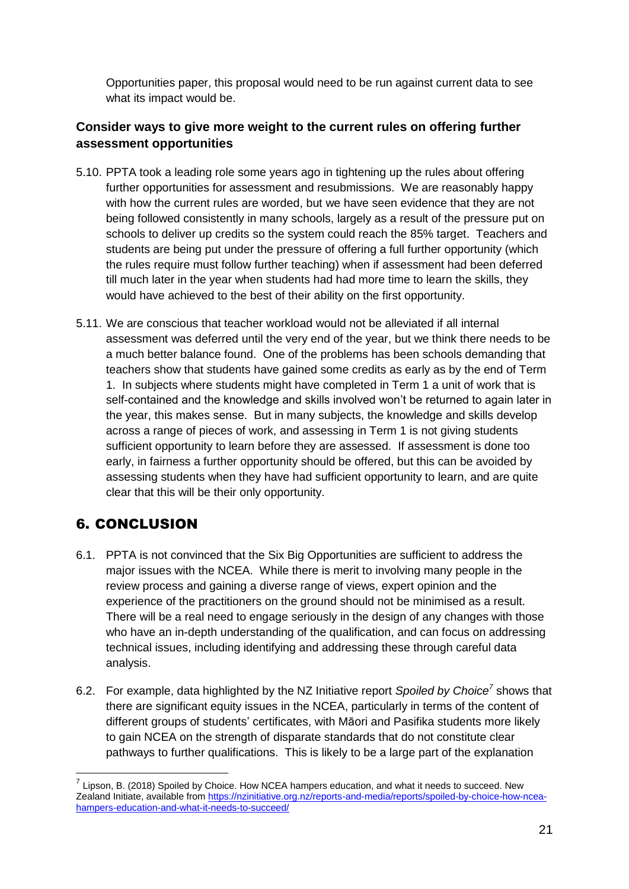Opportunities paper, this proposal would need to be run against current data to see what its impact would be.

## <span id="page-21-0"></span>**Consider ways to give more weight to the current rules on offering further assessment opportunities**

- 5.10. PPTA took a leading role some years ago in tightening up the rules about offering further opportunities for assessment and resubmissions. We are reasonably happy with how the current rules are worded, but we have seen evidence that they are not being followed consistently in many schools, largely as a result of the pressure put on schools to deliver up credits so the system could reach the 85% target. Teachers and students are being put under the pressure of offering a full further opportunity (which the rules require must follow further teaching) when if assessment had been deferred till much later in the year when students had had more time to learn the skills, they would have achieved to the best of their ability on the first opportunity.
- 5.11. We are conscious that teacher workload would not be alleviated if all internal assessment was deferred until the very end of the year, but we think there needs to be a much better balance found. One of the problems has been schools demanding that teachers show that students have gained some credits as early as by the end of Term 1. In subjects where students might have completed in Term 1 a unit of work that is self-contained and the knowledge and skills involved won't be returned to again later in the year, this makes sense. But in many subjects, the knowledge and skills develop across a range of pieces of work, and assessing in Term 1 is not giving students sufficient opportunity to learn before they are assessed. If assessment is done too early, in fairness a further opportunity should be offered, but this can be avoided by assessing students when they have had sufficient opportunity to learn, and are quite clear that this will be their only opportunity.

# <span id="page-21-1"></span>6. CONCLUSION

1

- 6.1. PPTA is not convinced that the Six Big Opportunities are sufficient to address the major issues with the NCEA. While there is merit to involving many people in the review process and gaining a diverse range of views, expert opinion and the experience of the practitioners on the ground should not be minimised as a result. There will be a real need to engage seriously in the design of any changes with those who have an in-depth understanding of the qualification, and can focus on addressing technical issues, including identifying and addressing these through careful data analysis.
- 6.2. For example, data highlighted by the NZ Initiative report *Spoiled by Choice<sup>7</sup>* shows that there are significant equity issues in the NCEA, particularly in terms of the content of different groups of students' certificates, with Māori and Pasifika students more likely to gain NCEA on the strength of disparate standards that do not constitute clear pathways to further qualifications. This is likely to be a large part of the explanation

 $^7$  Lipson, B. (2018) Spoiled by Choice. How NCEA hampers education, and what it needs to succeed. New Zealand Initiate, available from [https://nzinitiative.org.nz/reports-and-media/reports/spoiled-by-choice-how-ncea](https://nzinitiative.org.nz/reports-and-media/reports/spoiled-by-choice-how-ncea-hampers-education-and-what-it-needs-to-succeed/)[hampers-education-and-what-it-needs-to-succeed/](https://nzinitiative.org.nz/reports-and-media/reports/spoiled-by-choice-how-ncea-hampers-education-and-what-it-needs-to-succeed/)